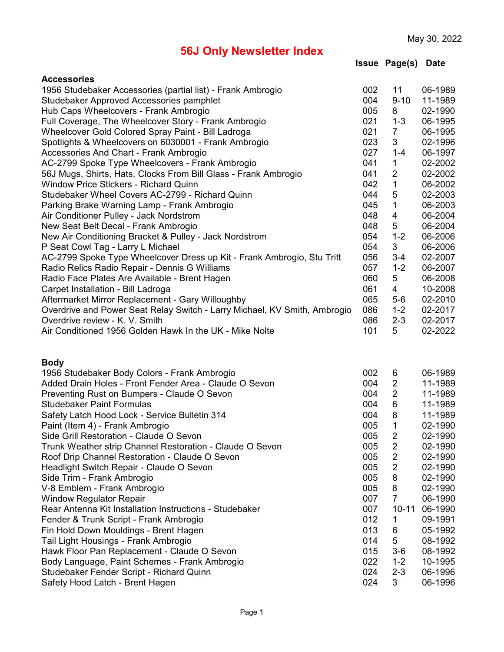**Issue Page(s) Date**

| <b>Accessories</b>                                                        |     |                |         |
|---------------------------------------------------------------------------|-----|----------------|---------|
| 1956 Studebaker Accessories (partial list) - Frank Ambrogio               | 002 | 11             | 06-1989 |
| Studebaker Approved Accessories pamphlet                                  | 004 | $9 - 10$       | 11-1989 |
| Hub Caps Wheelcovers - Frank Ambrogio                                     | 005 | 8              | 02-1990 |
| Full Coverage, The Wheelcover Story - Frank Ambrogio                      | 021 | $1 - 3$        | 06-1995 |
| Wheelcover Gold Colored Spray Paint - Bill Ladroga                        | 021 | $\overline{7}$ | 06-1995 |
| Spotlights & Wheelcovers on 6030001 - Frank Ambrogio                      | 023 | 3              | 02-1996 |
| Accessories And Chart - Frank Ambrogio                                    | 027 | $1 - 4$        | 06-1997 |
| AC-2799 Spoke Type Wheelcovers - Frank Ambrogio                           | 041 | 1              | 02-2002 |
| 56J Mugs, Shirts, Hats, Clocks From Bill Glass - Frank Ambrogio           | 041 | $\overline{2}$ | 02-2002 |
| <b>Window Price Stickers - Richard Quinn</b>                              | 042 | 1              | 06-2002 |
| Studebaker Wheel Covers AC-2799 - Richard Quinn                           | 044 | 5              | 02-2003 |
| Parking Brake Warning Lamp - Frank Ambrogio                               | 045 | $\mathbf 1$    | 06-2003 |
| Air Conditioner Pulley - Jack Nordstrom                                   | 048 | 4              | 06-2004 |
| New Seat Belt Decal - Frank Ambrogio                                      | 048 | 5              | 06-2004 |
| New Air Conditioning Bracket & Pulley - Jack Nordstrom                    | 054 | $1 - 2$        | 06-2006 |
| P Seat Cowl Tag - Larry L Michael                                         | 054 | 3              | 06-2006 |
| AC-2799 Spoke Type Wheelcover Dress up Kit - Frank Ambrogio, Stu Tritt    | 056 | $3 - 4$        | 02-2007 |
| Radio Relics Radio Repair - Dennis G Williams                             | 057 | $1 - 2$        | 06-2007 |
| Radio Face Plates Are Available - Brent Hagen                             | 060 | 5              | 06-2008 |
| Carpet Installation - Bill Ladroga                                        | 061 | 4              | 10-2008 |
| Aftermarket Mirror Replacement - Gary Willoughby                          | 065 | $5-6$          | 02-2010 |
| Overdrive and Power Seat Relay Switch - Larry Michael, KV Smith, Ambrogio | 086 | $1 - 2$        | 02-2017 |
| Overdrive review - K. V. Smith                                            | 086 | $2 - 3$        | 02-2017 |
| Air Conditioned 1956 Golden Hawk In the UK - Mike Nolte                   | 101 | 5              | 02-2022 |
|                                                                           |     |                |         |
|                                                                           |     |                |         |
| <b>Body</b><br>1956 Studebaker Body Colors - Frank Ambrogio               | 002 | 6              | 06-1989 |
| Added Drain Holes - Front Fender Area - Claude O Sevon                    | 004 | $\overline{2}$ | 11-1989 |
| Preventing Rust on Bumpers - Claude O Sevon                               | 004 | $\overline{2}$ | 11-1989 |
| <b>Studebaker Paint Formulas</b>                                          | 004 | 6              | 11-1989 |
| Safety Latch Hood Lock - Service Bulletin 314                             | 004 | 8              | 11-1989 |
| Paint (Item 4) - Frank Ambrogio                                           | 005 | 1              | 02-1990 |
| Side Grill Restoration - Claude O Sevon                                   | 005 | $\overline{2}$ | 02-1990 |
| Trunk Weather strip Channel Restoration - Claude O Sevon                  | 005 | 2              | 02-1990 |
| Roof Drip Channel Restoration - Claude O Sevon                            | 005 | $\overline{2}$ | 02-1990 |
| Headlight Switch Repair - Claude O Sevon                                  | 005 | $\overline{c}$ | 02-1990 |
| Side Trim - Frank Ambrogio                                                | 005 | 8              | 02-1990 |
| V-8 Emblem - Frank Ambrogio                                               | 005 | 8              | 02-1990 |
| <b>Window Regulator Repair</b>                                            | 007 | $\overline{7}$ | 06-1990 |
| Rear Antenna Kit Installation Instructions - Studebaker                   | 007 | $10 - 11$      | 06-1990 |
| Fender & Trunk Script - Frank Ambrogio                                    | 012 | 1              | 09-1991 |
| Fin Hold Down Mouldings - Brent Hagen                                     | 013 | 6              | 05-1992 |
| Tail Light Housings - Frank Ambrogio                                      | 014 | 5              | 08-1992 |
| Hawk Floor Pan Replacement - Claude O Sevon                               | 015 | $3-6$          | 08-1992 |
| Body Language, Paint Schemes - Frank Ambrogio                             | 022 | $1 - 2$        | 10-1995 |
| Studebaker Fender Script - Richard Quinn                                  | 024 | $2 - 3$        | 06-1996 |
| Safety Hood Latch - Brent Hagen                                           | 024 | 3              | 06-1996 |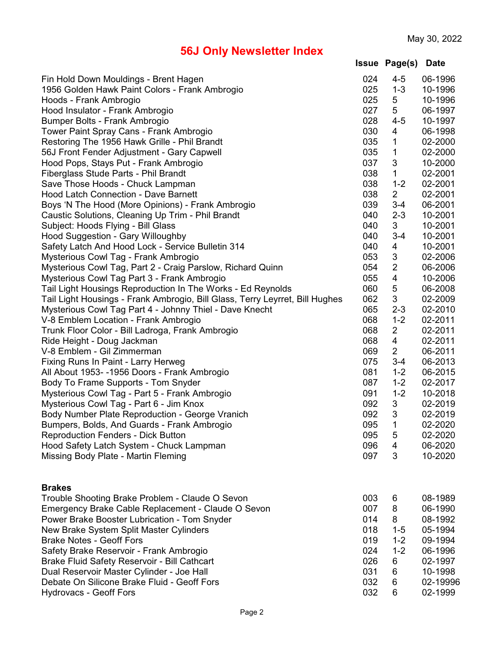| <b>Issue Page(s) Date</b> |  |
|---------------------------|--|
|---------------------------|--|

| Fin Hold Down Mouldings - Brent Hagen<br>1956 Golden Hawk Paint Colors - Frank Ambrogio | 024<br>025 | $4 - 5$<br>$1 - 3$      | 06-1996<br>10-1996 |
|-----------------------------------------------------------------------------------------|------------|-------------------------|--------------------|
| Hoods - Frank Ambrogio                                                                  | 025        | 5                       | 10-1996            |
| Hood Insulator - Frank Ambrogio                                                         | 027        | 5                       | 06-1997            |
| Bumper Bolts - Frank Ambrogio                                                           | 028        | $4 - 5$                 | 10-1997            |
| Tower Paint Spray Cans - Frank Ambrogio                                                 | 030        | 4                       | 06-1998            |
| Restoring The 1956 Hawk Grille - Phil Brandt                                            | 035        | 1                       | 02-2000            |
| 56J Front Fender Adjustment - Gary Capwell                                              | 035        | 1                       | 02-2000            |
| Hood Pops, Stays Put - Frank Ambrogio                                                   | 037        | 3                       | 10-2000            |
| Fiberglass Stude Parts - Phil Brandt                                                    | 038        | 1                       | 02-2001            |
| Save Those Hoods - Chuck Lampman                                                        | 038        | $1 - 2$                 | 02-2001            |
| <b>Hood Latch Connection - Dave Barnett</b>                                             | 038        | $\overline{2}$          | 02-2001            |
| Boys 'N The Hood (More Opinions) - Frank Ambrogio                                       | 039        | $3 - 4$                 | 06-2001            |
| Caustic Solutions, Cleaning Up Trim - Phil Brandt                                       | 040        | $2 - 3$                 | 10-2001            |
| Subject: Hoods Flying - Bill Glass                                                      | 040        | 3                       | 10-2001            |
| Hood Suggestion - Gary Willoughby                                                       | 040        | $3 - 4$                 | 10-2001            |
| Safety Latch And Hood Lock - Service Bulletin 314                                       | 040        | 4                       | 10-2001            |
| Mysterious Cowl Tag - Frank Ambrogio                                                    | 053        | 3                       | 02-2006            |
| Mysterious Cowl Tag, Part 2 - Craig Parslow, Richard Quinn                              | 054        | $\overline{2}$          | 06-2006            |
| Mysterious Cowl Tag Part 3 - Frank Ambrogio                                             | 055        | $\overline{\mathbf{4}}$ | 10-2006            |
| Tail Light Housings Reproduction In The Works - Ed Reynolds                             | 060        | 5                       | 06-2008            |
| Tail Light Housings - Frank Ambrogio, Bill Glass, Terry Leyrret, Bill Hughes            | 062        | 3                       | 02-2009            |
| Mysterious Cowl Tag Part 4 - Johnny Thiel - Dave Knecht                                 | 065        | $2 - 3$                 | 02-2010            |
| V-8 Emblem Location - Frank Ambrogio                                                    | 068        | $1 - 2$                 | 02-2011            |
| Trunk Floor Color - Bill Ladroga, Frank Ambrogio                                        | 068        | $\overline{2}$          | 02-2011            |
| Ride Height - Doug Jackman                                                              | 068        | 4                       | 02-2011            |
| V-8 Emblem - Gil Zimmerman                                                              | 069        | $\overline{2}$          | 06-2011            |
| Fixing Runs In Paint - Larry Herweg                                                     | 075        | $3 - 4$                 | 06-2013            |
| All About 1953- -1956 Doors - Frank Ambrogio                                            | 081        | $1 - 2$                 | 06-2015            |
| Body To Frame Supports - Tom Snyder                                                     | 087        | $1 - 2$                 | 02-2017            |
| Mysterious Cowl Tag - Part 5 - Frank Ambrogio                                           | 091        | $1 - 2$                 | 10-2018            |
| Mysterious Cowl Tag - Part 6 - Jim Knox                                                 | 092        | 3                       | 02-2019            |
| Body Number Plate Reproduction - George Vranich                                         | 092        | 3                       | 02-2019            |
| Bumpers, Bolds, And Guards - Frank Ambrogio                                             | 095        | 1                       | 02-2020            |
| <b>Reproduction Fenders - Dick Button</b>                                               | 095        | 5                       | 02-2020            |
| Hood Safety Latch System - Chuck Lampman                                                | 096        | 4                       | 06-2020            |
| Missing Body Plate - Martin Fleming                                                     | 097        | 3                       | 10-2020            |
|                                                                                         |            |                         |                    |
| <b>Brakes</b>                                                                           |            |                         |                    |
| Trouble Shooting Brake Problem - Claude O Sevon                                         | 003        | 6                       | 08-1989            |
| Emergency Brake Cable Replacement - Claude O Sevon                                      | 007        | 8                       | 06-1990            |
| Power Brake Booster Lubrication - Tom Snyder                                            | 014        | 8                       | 08-1992            |
| New Brake System Split Master Cylinders                                                 | 018        | $1 - 5$                 | 05-1994            |
| <b>Brake Notes - Geoff Fors</b>                                                         | 019        | $1 - 2$                 | 09-1994            |
| Safety Brake Reservoir - Frank Ambrogio                                                 | 024        | $1 - 2$                 | 06-1996            |
| Brake Fluid Safety Reservoir - Bill Cathcart                                            | 026        | 6                       | 02-1997            |
| Dual Reservoir Master Cylinder - Joe Hall                                               | 031        | 6                       | 10-1998            |
| Debate On Silicone Brake Fluid - Geoff Fors                                             | 032        | 6                       | 02-19996           |
| <b>Hydrovacs - Geoff Fors</b>                                                           | 032        | 6                       | 02-1999            |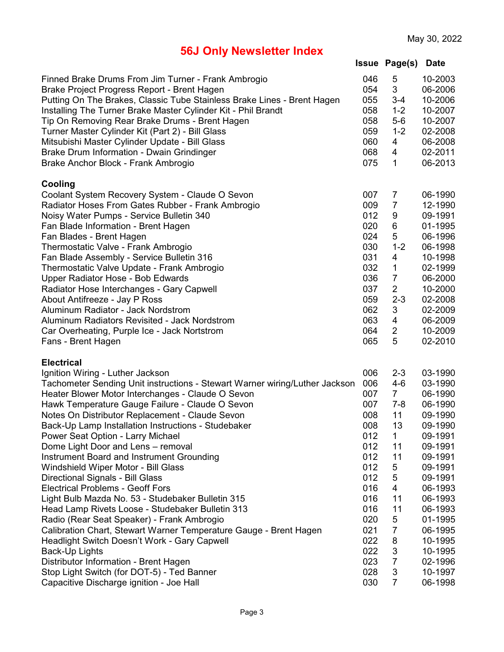|  | <b>Issue Page(s) Date</b> |  |
|--|---------------------------|--|
|--|---------------------------|--|

| Finned Brake Drums From Jim Turner - Frank Ambrogio<br>Brake Project Progress Report - Brent Hagen<br>Putting On The Brakes, Classic Tube Stainless Brake Lines - Brent Hagen<br>Installing The Turner Brake Master Cylinder Kit - Phil Brandt<br>Tip On Removing Rear Brake Drums - Brent Hagen<br>Turner Master Cylinder Kit (Part 2) - Bill Glass<br>Mitsubishi Master Cylinder Update - Bill Glass<br>Brake Drum Information - Dwain Grindinger<br>Brake Anchor Block - Frank Ambrogio | 046<br>054<br>055<br>058<br>058<br>059<br>060<br>068<br>075 | 5<br>3<br>$3 - 4$<br>$1 - 2$<br>$5-6$<br>$1 - 2$<br>4<br>4<br>1 | 10-2003<br>06-2006<br>10-2006<br>10-2007<br>10-2007<br>02-2008<br>06-2008<br>02-2011<br>06-2013 |
|--------------------------------------------------------------------------------------------------------------------------------------------------------------------------------------------------------------------------------------------------------------------------------------------------------------------------------------------------------------------------------------------------------------------------------------------------------------------------------------------|-------------------------------------------------------------|-----------------------------------------------------------------|-------------------------------------------------------------------------------------------------|
| Cooling<br>Coolant System Recovery System - Claude O Sevon                                                                                                                                                                                                                                                                                                                                                                                                                                 | 007                                                         | $\overline{7}$                                                  | 06-1990                                                                                         |
| Radiator Hoses From Gates Rubber - Frank Ambrogio                                                                                                                                                                                                                                                                                                                                                                                                                                          | 009                                                         | $\overline{7}$                                                  | 12-1990                                                                                         |
| Noisy Water Pumps - Service Bulletin 340                                                                                                                                                                                                                                                                                                                                                                                                                                                   | 012                                                         | 9                                                               | 09-1991                                                                                         |
| Fan Blade Information - Brent Hagen                                                                                                                                                                                                                                                                                                                                                                                                                                                        | 020                                                         | 6                                                               | 01-1995                                                                                         |
| Fan Blades - Brent Hagen                                                                                                                                                                                                                                                                                                                                                                                                                                                                   | 024                                                         | 5                                                               | 06-1996                                                                                         |
| Thermostatic Valve - Frank Ambrogio                                                                                                                                                                                                                                                                                                                                                                                                                                                        | 030                                                         | $1 - 2$                                                         | 06-1998                                                                                         |
| Fan Blade Assembly - Service Bulletin 316                                                                                                                                                                                                                                                                                                                                                                                                                                                  | 031                                                         | 4                                                               | 10-1998                                                                                         |
| Thermostatic Valve Update - Frank Ambrogio                                                                                                                                                                                                                                                                                                                                                                                                                                                 | 032                                                         | $\mathbf 1$                                                     | 02-1999                                                                                         |
| Upper Radiator Hose - Bob Edwards                                                                                                                                                                                                                                                                                                                                                                                                                                                          | 036                                                         | $\overline{7}$                                                  | 06-2000                                                                                         |
| Radiator Hose Interchanges - Gary Capwell                                                                                                                                                                                                                                                                                                                                                                                                                                                  | 037                                                         | $\overline{2}$                                                  | 10-2000                                                                                         |
| About Antifreeze - Jay P Ross                                                                                                                                                                                                                                                                                                                                                                                                                                                              | 059                                                         | $2 - 3$                                                         | 02-2008                                                                                         |
| Aluminum Radiator - Jack Nordstrom                                                                                                                                                                                                                                                                                                                                                                                                                                                         | 062                                                         | 3                                                               | 02-2009                                                                                         |
| Aluminum Radiators Revisited - Jack Nordstrom                                                                                                                                                                                                                                                                                                                                                                                                                                              | 063                                                         | 4                                                               | 06-2009                                                                                         |
| Car Overheating, Purple Ice - Jack Nortstrom                                                                                                                                                                                                                                                                                                                                                                                                                                               | 064                                                         | 2                                                               | 10-2009                                                                                         |
| Fans - Brent Hagen                                                                                                                                                                                                                                                                                                                                                                                                                                                                         | 065                                                         | 5                                                               | 02-2010                                                                                         |
| <b>Electrical</b>                                                                                                                                                                                                                                                                                                                                                                                                                                                                          |                                                             |                                                                 |                                                                                                 |
| Ignition Wiring - Luther Jackson                                                                                                                                                                                                                                                                                                                                                                                                                                                           | 006                                                         | $2 - 3$                                                         | 03-1990                                                                                         |
| Tachometer Sending Unit instructions - Stewart Warner wiring/Luther Jackson                                                                                                                                                                                                                                                                                                                                                                                                                | 006                                                         | $4-6$                                                           | 03-1990                                                                                         |
| Heater Blower Motor Interchanges - Claude O Sevon                                                                                                                                                                                                                                                                                                                                                                                                                                          | 007                                                         | $\overline{7}$                                                  | 06-1990                                                                                         |
| Hawk Temperature Gauge Failure - Claude O Sevon                                                                                                                                                                                                                                                                                                                                                                                                                                            | 007                                                         | $7 - 8$                                                         | 06-1990                                                                                         |
| Notes On Distributor Replacement - Claude Sevon                                                                                                                                                                                                                                                                                                                                                                                                                                            | 008                                                         | 11                                                              | 09-1990                                                                                         |
| Back-Up Lamp Installation Instructions - Studebaker                                                                                                                                                                                                                                                                                                                                                                                                                                        | 008                                                         | 13                                                              | 09-1990                                                                                         |
| Power Seat Option - Larry Michael                                                                                                                                                                                                                                                                                                                                                                                                                                                          | 012                                                         | 1                                                               | 09-1991                                                                                         |
| Dome Light Door and Lens - removal                                                                                                                                                                                                                                                                                                                                                                                                                                                         | 012                                                         | 11                                                              | 09-1991                                                                                         |
| Instrument Board and Instrument Grounding                                                                                                                                                                                                                                                                                                                                                                                                                                                  | 012                                                         | 11                                                              | 09-1991                                                                                         |
| Windshield Wiper Motor - Bill Glass                                                                                                                                                                                                                                                                                                                                                                                                                                                        | 012                                                         | 5                                                               | 09-1991                                                                                         |
| Directional Signals - Bill Glass                                                                                                                                                                                                                                                                                                                                                                                                                                                           | 012                                                         | 5                                                               | 09-1991                                                                                         |
| <b>Electrical Problems - Geoff Fors</b>                                                                                                                                                                                                                                                                                                                                                                                                                                                    | 016                                                         | 4                                                               | 06-1993                                                                                         |
| Light Bulb Mazda No. 53 - Studebaker Bulletin 315                                                                                                                                                                                                                                                                                                                                                                                                                                          | 016                                                         | 11                                                              | 06-1993                                                                                         |
| Head Lamp Rivets Loose - Studebaker Bulletin 313<br>Radio (Rear Seat Speaker) - Frank Ambrogio                                                                                                                                                                                                                                                                                                                                                                                             | 016<br>020                                                  | 11<br>5                                                         | 06-1993                                                                                         |
| Calibration Chart, Stewart Warner Temperature Gauge - Brent Hagen                                                                                                                                                                                                                                                                                                                                                                                                                          | 021                                                         | 7                                                               | 01-1995<br>06-1995                                                                              |
|                                                                                                                                                                                                                                                                                                                                                                                                                                                                                            | 022                                                         | 8                                                               | 10-1995                                                                                         |
| Headlight Switch Doesn't Work - Gary Capwell<br>Back-Up Lights                                                                                                                                                                                                                                                                                                                                                                                                                             | 022                                                         | 3                                                               | 10-1995                                                                                         |
| Distributor Information - Brent Hagen                                                                                                                                                                                                                                                                                                                                                                                                                                                      | 023                                                         | $\overline{7}$                                                  | 02-1996                                                                                         |
| Stop Light Switch (for DOT-5) - Ted Banner                                                                                                                                                                                                                                                                                                                                                                                                                                                 | 028                                                         | 3                                                               | 10-1997                                                                                         |
| Capacitive Discharge ignition - Joe Hall                                                                                                                                                                                                                                                                                                                                                                                                                                                   | 030                                                         | $\overline{7}$                                                  | 06-1998                                                                                         |
|                                                                                                                                                                                                                                                                                                                                                                                                                                                                                            |                                                             |                                                                 |                                                                                                 |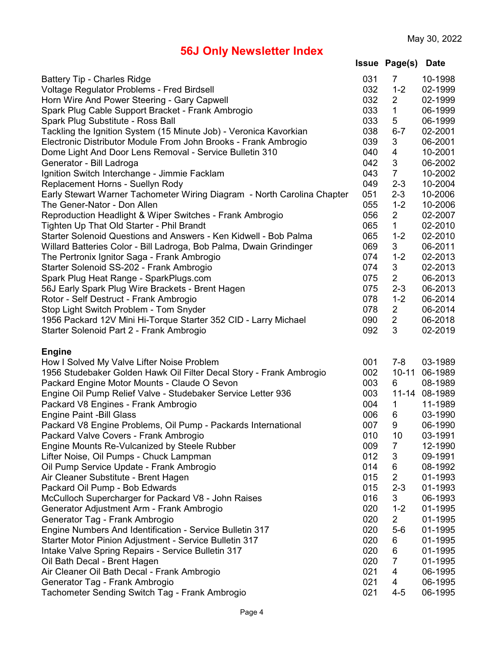|  | <b>Issue Page(s) Date</b> |  |
|--|---------------------------|--|
|--|---------------------------|--|

| <b>Battery Tip - Charles Ridge</b>                                      | 031 | $\overline{7}$ | 10-1998       |
|-------------------------------------------------------------------------|-----|----------------|---------------|
| Voltage Regulator Problems - Fred Birdsell                              | 032 | $1 - 2$        | 02-1999       |
| Horn Wire And Power Steering - Gary Capwell                             | 032 | $\overline{2}$ | 02-1999       |
| Spark Plug Cable Support Bracket - Frank Ambrogio                       | 033 | 1              | 06-1999       |
| Spark Plug Substitute - Ross Ball                                       | 033 | 5              | 06-1999       |
| Tackling the Ignition System (15 Minute Job) - Veronica Kavorkian       | 038 | $6 - 7$        | 02-2001       |
| Electronic Distributor Module From John Brooks - Frank Ambrogio         | 039 | 3              | 06-2001       |
| Dome Light And Door Lens Removal - Service Bulletin 310                 | 040 | 4              | 10-2001       |
| Generator - Bill Ladroga                                                | 042 | 3              | 06-2002       |
| Ignition Switch Interchange - Jimmie Facklam                            | 043 | $\overline{7}$ | 10-2002       |
| Replacement Horns - Suellyn Rody                                        | 049 | $2 - 3$        | 10-2004       |
| Early Stewart Warner Tachometer Wiring Diagram - North Carolina Chapter | 051 | $2 - 3$        | 10-2006       |
| The Gener-Nator - Don Allen                                             | 055 | $1 - 2$        | 10-2006       |
| Reproduction Headlight & Wiper Switches - Frank Ambrogio                | 056 | $\overline{2}$ | 02-2007       |
| Tighten Up That Old Starter - Phil Brandt                               | 065 | 1              | 02-2010       |
| Starter Solenoid Questions and Answers - Ken Kidwell - Bob Palma        | 065 | $1 - 2$        | 02-2010       |
| Willard Batteries Color - Bill Ladroga, Bob Palma, Dwain Grindinger     | 069 | 3              | 06-2011       |
| The Pertronix Ignitor Saga - Frank Ambrogio                             | 074 | $1 - 2$        | 02-2013       |
| Starter Solenoid SS-202 - Frank Ambrogio                                | 074 | 3              | 02-2013       |
| Spark Plug Heat Range - SparkPlugs.com                                  | 075 | $\overline{2}$ | 06-2013       |
| 56J Early Spark Plug Wire Brackets - Brent Hagen                        | 075 | $2 - 3$        | 06-2013       |
| Rotor - Self Destruct - Frank Ambrogio                                  | 078 | $1 - 2$        | 06-2014       |
| Stop Light Switch Problem - Tom Snyder                                  | 078 | $\overline{2}$ | 06-2014       |
| 1956 Packard 12V Mini Hi-Torque Starter 352 CID - Larry Michael         | 090 | $\overline{2}$ | 06-2018       |
| Starter Solenoid Part 2 - Frank Ambrogio                                | 092 | 3              | 02-2019       |
| <b>Engine</b>                                                           |     |                |               |
| How I Solved My Valve Lifter Noise Problem                              | 001 | $7 - 8$        | 03-1989       |
| 1956 Studebaker Golden Hawk Oil Filter Decal Story - Frank Ambrogio     | 002 | $10 - 11$      | 06-1989       |
| Packard Engine Motor Mounts - Claude O Sevon                            | 003 | 6              | 08-1989       |
| Engine Oil Pump Relief Valve - Studebaker Service Letter 936            | 003 |                | 11-14 08-1989 |
| Packard V8 Engines - Frank Ambrogio                                     | 004 | 1              | 11-1989       |
| <b>Engine Paint -Bill Glass</b>                                         | 006 | 6              | 03-1990       |
| Packard V8 Engine Problems, Oil Pump - Packards International           | 007 | 9              | 06-1990       |
| Packard Valve Covers - Frank Ambrogio                                   | 010 | 10             | 03-1991       |
| Engine Mounts Re-Vulcanized by Steele Rubber                            | 009 | $\overline{7}$ | 12-1990       |
| Lifter Noise, Oil Pumps - Chuck Lampman                                 | 012 | 3              | 09-1991       |
| Oil Pump Service Update - Frank Ambrogio                                | 014 | 6              | 08-1992       |
| Air Cleaner Substitute - Brent Hagen                                    | 015 | $\overline{2}$ | 01-1993       |
| Packard Oil Pump - Bob Edwards                                          | 015 | $2 - 3$        | 01-1993       |
| McCulloch Supercharger for Packard V8 - John Raises                     | 016 | 3              | 06-1993       |
| Generator Adjustment Arm - Frank Ambrogio                               | 020 | $1 - 2$        | 01-1995       |
| Generator Tag - Frank Ambrogio                                          | 020 | $\overline{2}$ | 01-1995       |
| Engine Numbers And Identification - Service Bulletin 317                | 020 | $5-6$          | 01-1995       |
| Starter Motor Pinion Adjustment - Service Bulletin 317                  | 020 | 6              | 01-1995       |
| Intake Valve Spring Repairs - Service Bulletin 317                      | 020 | 6              | 01-1995       |
| Oil Bath Decal - Brent Hagen                                            | 020 | 7              | 01-1995       |
| Air Cleaner Oil Bath Decal - Frank Ambrogio                             | 021 | 4              | 06-1995       |
| Generator Tag - Frank Ambrogio                                          | 021 | 4              | 06-1995       |
| Tachometer Sending Switch Tag - Frank Ambrogio                          | 021 | $4 - 5$        | 06-1995       |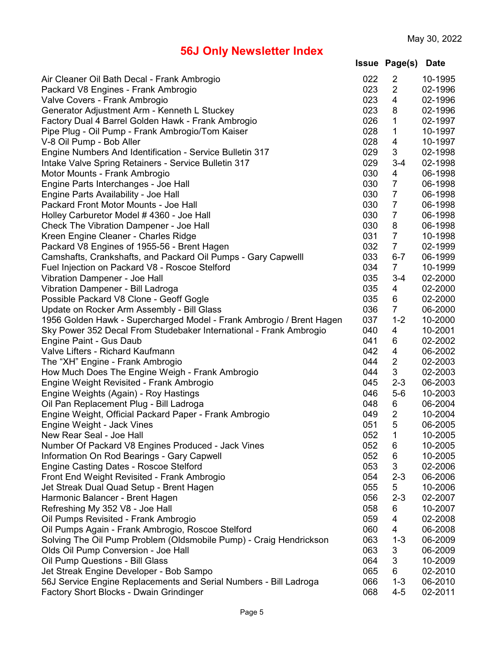|  | <b>Issue Page(s) Date</b> |  |
|--|---------------------------|--|
|--|---------------------------|--|

| Air Cleaner Oil Bath Decal - Frank Ambrogio                          | 022 | $\overline{2}$          | 10-1995 |
|----------------------------------------------------------------------|-----|-------------------------|---------|
| Packard V8 Engines - Frank Ambrogio                                  | 023 | $\overline{2}$          | 02-1996 |
| Valve Covers - Frank Ambrogio                                        | 023 | 4                       | 02-1996 |
| Generator Adjustment Arm - Kenneth L Stuckey                         | 023 | 8                       | 02-1996 |
| Factory Dual 4 Barrel Golden Hawk - Frank Ambrogio                   | 026 | 1                       | 02-1997 |
| Pipe Plug - Oil Pump - Frank Ambrogio/Tom Kaiser                     | 028 | 1                       | 10-1997 |
| V-8 Oil Pump - Bob Aller                                             | 028 | $\overline{\mathbf{4}}$ | 10-1997 |
| Engine Numbers And Identification - Service Bulletin 317             | 029 | 3                       | 02-1998 |
| Intake Valve Spring Retainers - Service Bulletin 317                 | 029 | $3 - 4$                 | 02-1998 |
| Motor Mounts - Frank Ambrogio                                        | 030 | 4                       | 06-1998 |
| Engine Parts Interchanges - Joe Hall                                 | 030 | $\overline{7}$          | 06-1998 |
| Engine Parts Availability - Joe Hall                                 | 030 | $\overline{7}$          | 06-1998 |
| Packard Front Motor Mounts - Joe Hall                                | 030 | $\overline{7}$          | 06-1998 |
| Holley Carburetor Model #4360 - Joe Hall                             | 030 | $\overline{7}$          | 06-1998 |
| <b>Check The Vibration Dampener - Joe Hall</b>                       | 030 | 8                       | 06-1998 |
| Kreen Engine Cleaner - Charles Ridge                                 | 031 | $\overline{7}$          | 10-1998 |
| Packard V8 Engines of 1955-56 - Brent Hagen                          | 032 | $\overline{7}$          | 02-1999 |
| Camshafts, Crankshafts, and Packard Oil Pumps - Gary Capwelll        | 033 | $6 - 7$                 | 06-1999 |
| Fuel Injection on Packard V8 - Roscoe Stelford                       | 034 | $\overline{7}$          | 10-1999 |
| Vibration Dampener - Joe Hall                                        | 035 | $3 - 4$                 | 02-2000 |
| Vibration Dampener - Bill Ladroga                                    | 035 | 4                       | 02-2000 |
| Possible Packard V8 Clone - Geoff Gogle                              | 035 | 6                       | 02-2000 |
| Update on Rocker Arm Assembly - Bill Glass                           | 036 | 7                       | 06-2000 |
|                                                                      | 037 | $1 - 2$                 | 10-2000 |
| 1956 Golden Hawk - Supercharged Model - Frank Ambrogio / Brent Hagen | 040 |                         | 10-2001 |
| Sky Power 352 Decal From Studebaker International - Frank Ambrogio   | 041 | 4<br>6                  | 02-2002 |
| Engine Paint - Gus Daub<br>Valve Lifters - Richard Kaufmann          | 042 | 4                       | 06-2002 |
|                                                                      | 044 | $\overline{2}$          | 02-2003 |
| The "XH" Engine - Frank Ambrogio                                     | 044 | 3                       | 02-2003 |
| How Much Does The Engine Weigh - Frank Ambrogio                      |     |                         |         |
| Engine Weight Revisited - Frank Ambrogio                             | 045 | $2 - 3$                 | 06-2003 |
| Engine Weights (Again) - Roy Hastings                                | 046 | $5-6$                   | 10-2003 |
| Oil Pan Replacement Plug - Bill Ladroga                              | 048 | 6                       | 06-2004 |
| Engine Weight, Official Packard Paper - Frank Ambrogio               | 049 | $\overline{2}$          | 10-2004 |
| Engine Weight - Jack Vines                                           | 051 | 5                       | 06-2005 |
| New Rear Seal - Joe Hall                                             | 052 | 1                       | 10-2005 |
| Number Of Packard V8 Engines Produced - Jack Vines                   | 052 | 6                       | 10-2005 |
| Information On Rod Bearings - Gary Capwell                           | 052 | 6                       | 10-2005 |
| <b>Engine Casting Dates - Roscoe Stelford</b>                        | 053 | 3                       | 02-2006 |
| Front End Weight Revisited - Frank Ambrogio                          | 054 | $2 - 3$                 | 06-2006 |
| Jet Streak Dual Quad Setup - Brent Hagen                             | 055 | 5                       | 10-2006 |
| Harmonic Balancer - Brent Hagen                                      | 056 | $2 - 3$                 | 02-2007 |
| Refreshing My 352 V8 - Joe Hall                                      | 058 | 6                       | 10-2007 |
| Oil Pumps Revisited - Frank Ambrogio                                 | 059 | 4                       | 02-2008 |
| Oil Pumps Again - Frank Ambrogio, Roscoe Stelford                    | 060 | 4                       | 06-2008 |
| Solving The Oil Pump Problem (Oldsmobile Pump) - Craig Hendrickson   | 063 | $1 - 3$                 | 06-2009 |
| Olds Oil Pump Conversion - Joe Hall                                  | 063 | 3                       | 06-2009 |
| Oil Pump Questions - Bill Glass                                      | 064 | 3                       | 10-2009 |
| Jet Streak Engine Developer - Bob Sampo                              | 065 | 6                       | 02-2010 |
| 56J Service Engine Replacements and Serial Numbers - Bill Ladroga    | 066 | $1 - 3$                 | 06-2010 |
| Factory Short Blocks - Dwain Grindinger                              | 068 | $4 - 5$                 | 02-2011 |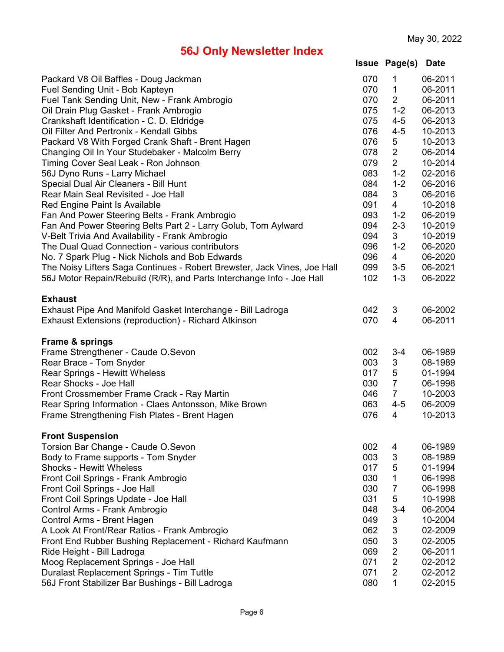|  | <b>Issue Page(s) Date</b> |  |
|--|---------------------------|--|
|--|---------------------------|--|

| Packard V8 Oil Baffles - Doug Jackman                                    | 070 | 1              | 06-2011 |
|--------------------------------------------------------------------------|-----|----------------|---------|
| Fuel Sending Unit - Bob Kapteyn                                          | 070 | 1              | 06-2011 |
| Fuel Tank Sending Unit, New - Frank Ambrogio                             | 070 | $\overline{2}$ | 06-2011 |
| Oil Drain Plug Gasket - Frank Ambrogio                                   | 075 | $1 - 2$        | 06-2013 |
| Crankshaft Identification - C. D. Eldridge                               | 075 | $4 - 5$        | 06-2013 |
| Oil Filter And Pertronix - Kendall Gibbs                                 | 076 | $4 - 5$        | 10-2013 |
| Packard V8 With Forged Crank Shaft - Brent Hagen                         | 076 | 5              | 10-2013 |
| Changing Oil In Your Studebaker - Malcolm Berry                          | 078 | $\overline{2}$ | 06-2014 |
| Timing Cover Seal Leak - Ron Johnson                                     | 079 | $\overline{2}$ | 10-2014 |
| 56J Dyno Runs - Larry Michael                                            | 083 | $1 - 2$        | 02-2016 |
| Special Dual Air Cleaners - Bill Hunt                                    | 084 | $1 - 2$        | 06-2016 |
|                                                                          | 084 |                |         |
| Rear Main Seal Revisited - Joe Hall                                      |     | 3              | 06-2016 |
| Red Engine Paint Is Available                                            | 091 | 4              | 10-2018 |
| Fan And Power Steering Belts - Frank Ambrogio                            | 093 | $1 - 2$        | 06-2019 |
| Fan And Power Steering Belts Part 2 - Larry Golub, Tom Aylward           | 094 | $2 - 3$        | 10-2019 |
| V-Belt Trivia And Availability - Frank Ambrogio                          | 094 | 3              | 10-2019 |
| The Dual Quad Connection - various contributors                          | 096 | $1 - 2$        | 06-2020 |
| No. 7 Spark Plug - Nick Nichols and Bob Edwards                          | 096 | $\overline{4}$ | 06-2020 |
| The Noisy Lifters Saga Continues - Robert Brewster, Jack Vines, Joe Hall | 099 | $3-5$          | 06-2021 |
| 56J Motor Repain/Rebuild (R/R), and Parts Interchange Info - Joe Hall    | 102 | $1 - 3$        | 06-2022 |
| <b>Exhaust</b>                                                           |     |                |         |
| Exhaust Pipe And Manifold Gasket Interchange - Bill Ladroga              | 042 | 3              | 06-2002 |
| Exhaust Extensions (reproduction) - Richard Atkinson                     | 070 | 4              | 06-2011 |
|                                                                          |     |                |         |
| Frame & springs                                                          |     |                |         |
| Frame Strengthener - Caude O.Sevon                                       | 002 | $3 - 4$        | 06-1989 |
| Rear Brace - Tom Snyder                                                  | 003 | 3              | 08-1989 |
| <b>Rear Springs - Hewitt Wheless</b>                                     | 017 | 5              | 01-1994 |
| Rear Shocks - Joe Hall                                                   | 030 | $\overline{7}$ | 06-1998 |
| Front Crossmember Frame Crack - Ray Martin                               | 046 | $\overline{7}$ | 10-2003 |
| Rear Spring Information - Claes Antonsson, Mike Brown                    | 063 | $4 - 5$        | 06-2009 |
| Frame Strengthening Fish Plates - Brent Hagen                            | 076 | 4              | 10-2013 |
| <b>Front Suspension</b>                                                  |     |                |         |
| Torsion Bar Change - Caude O.Sevon                                       | 002 | 4              | 06-1989 |
| Body to Frame supports - Tom Snyder                                      | 003 | 3              | 08-1989 |
| <b>Shocks - Hewitt Wheless</b>                                           | 017 | 5              | 01-1994 |
| Front Coil Springs - Frank Ambrogio                                      | 030 | 1              | 06-1998 |
| Front Coil Springs - Joe Hall                                            | 030 | $\overline{7}$ | 06-1998 |
|                                                                          | 031 | 5              |         |
| Front Coil Springs Update - Joe Hall                                     |     |                | 10-1998 |
| Control Arms - Frank Ambrogio                                            | 048 | $3 - 4$        | 06-2004 |
| Control Arms - Brent Hagen                                               | 049 | 3              | 10-2004 |
| A Look At Front/Rear Ratios - Frank Ambrogio                             | 062 | 3              | 02-2009 |
| Front End Rubber Bushing Replacement - Richard Kaufmann                  | 050 | 3              | 02-2005 |
| Ride Height - Bill Ladroga                                               | 069 | $\overline{2}$ | 06-2011 |
| Moog Replacement Springs - Joe Hall                                      | 071 | $\overline{2}$ | 02-2012 |
| Duralast Replacement Springs - Tim Tuttle                                | 071 | $\overline{2}$ | 02-2012 |
| 56J Front Stabilizer Bar Bushings - Bill Ladroga                         | 080 | 1              | 02-2015 |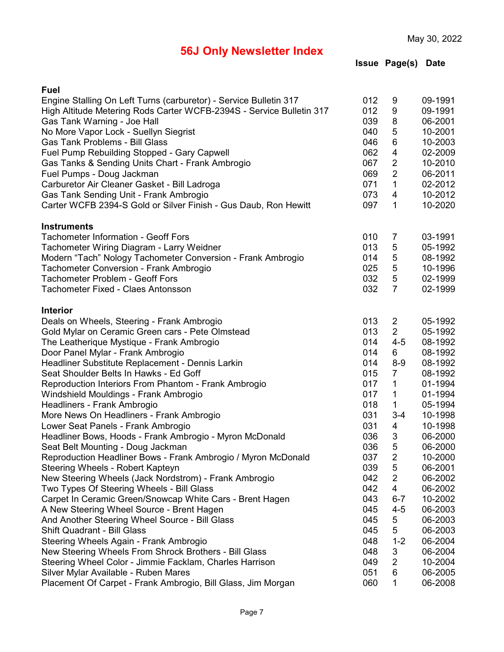**Issue Page(s) Date**

| Fuel                                                                 |     |                |         |
|----------------------------------------------------------------------|-----|----------------|---------|
| Engine Stalling On Left Turns (carburetor) - Service Bulletin 317    | 012 | 9              | 09-1991 |
| High Altitude Metering Rods Carter WCFB-2394S - Service Bulletin 317 | 012 | 9              | 09-1991 |
| Gas Tank Warning - Joe Hall                                          | 039 | 8              | 06-2001 |
| No More Vapor Lock - Suellyn Siegrist                                | 040 | 5              | 10-2001 |
| <b>Gas Tank Problems - Bill Glass</b>                                | 046 | 6              | 10-2003 |
| Fuel Pump Rebuilding Stopped - Gary Capwell                          | 062 | 4              | 02-2009 |
| Gas Tanks & Sending Units Chart - Frank Ambrogio                     | 067 | $\overline{2}$ | 10-2010 |
| Fuel Pumps - Doug Jackman                                            | 069 | $\overline{2}$ | 06-2011 |
| Carburetor Air Cleaner Gasket - Bill Ladroga                         | 071 | 1              | 02-2012 |
| Gas Tank Sending Unit - Frank Ambrogio                               | 073 | 4              | 10-2012 |
| Carter WCFB 2394-S Gold or Silver Finish - Gus Daub, Ron Hewitt      | 097 | $\mathbf{1}$   | 10-2020 |
| <b>Instruments</b>                                                   |     |                |         |
| <b>Tachometer Information - Geoff Fors</b>                           | 010 | 7              | 03-1991 |
| Tachometer Wiring Diagram - Larry Weidner                            | 013 | 5              | 05-1992 |
| Modern "Tach" Nology Tachometer Conversion - Frank Ambrogio          | 014 | 5              | 08-1992 |
| Tachometer Conversion - Frank Ambrogio                               | 025 | 5              | 10-1996 |
| <b>Tachometer Problem - Geoff Fors</b>                               | 032 | 5              | 02-1999 |
| Tachometer Fixed - Claes Antonsson                                   | 032 | $\overline{7}$ | 02-1999 |
| <b>Interior</b>                                                      |     |                |         |
| Deals on Wheels, Steering - Frank Ambrogio                           | 013 | 2              | 05-1992 |
| Gold Mylar on Ceramic Green cars - Pete Olmstead                     | 013 | $\overline{2}$ | 05-1992 |
| The Leatherique Mystique - Frank Ambrogio                            | 014 | $4 - 5$        | 08-1992 |
| Door Panel Mylar - Frank Ambrogio                                    | 014 | 6              | 08-1992 |
| Headliner Substitute Replacement - Dennis Larkin                     | 014 | $8-9$          | 08-1992 |
| Seat Shoulder Belts In Hawks - Ed Goff                               | 015 | 7              | 08-1992 |
| Reproduction Interiors From Phantom - Frank Ambrogio                 | 017 | $\mathbf{1}$   | 01-1994 |
| Windshield Mouldings - Frank Ambrogio                                | 017 | 1              | 01-1994 |
| Headliners - Frank Ambrogio                                          | 018 | 1              | 05-1994 |
| More News On Headliners - Frank Ambrogio                             | 031 | $3 - 4$        | 10-1998 |
| Lower Seat Panels - Frank Ambrogio                                   | 031 | 4              | 10-1998 |
| Headliner Bows, Hoods - Frank Ambrogio - Myron McDonald              | 036 | 3              | 06-2000 |
| Seat Belt Mounting - Doug Jackman                                    | 036 | 5              | 06-2000 |
| Reproduction Headliner Bows - Frank Ambrogio / Myron McDonald        | 037 | $\overline{c}$ | 10-2000 |
| Steering Wheels - Robert Kapteyn                                     | 039 | 5              | 06-2001 |
| New Steering Wheels (Jack Nordstrom) - Frank Ambrogio                | 042 | $\overline{2}$ | 06-2002 |
| Two Types Of Steering Wheels - Bill Glass                            | 042 | 4              | 06-2002 |
| Carpet In Ceramic Green/Snowcap White Cars - Brent Hagen             | 043 | $6 - 7$        | 10-2002 |
| A New Steering Wheel Source - Brent Hagen                            | 045 | $4 - 5$        | 06-2003 |
| And Another Steering Wheel Source - Bill Glass                       | 045 | 5              | 06-2003 |
| Shift Quadrant - Bill Glass                                          | 045 | 5              | 06-2003 |
| Steering Wheels Again - Frank Ambrogio                               | 048 | $1 - 2$        | 06-2004 |
| New Steering Wheels From Shrock Brothers - Bill Glass                | 048 | 3              | 06-2004 |
| Steering Wheel Color - Jimmie Facklam, Charles Harrison              | 049 | $\overline{2}$ | 10-2004 |
| Silver Mylar Available - Ruben Mares                                 | 051 | 6              | 06-2005 |
| Placement Of Carpet - Frank Ambrogio, Bill Glass, Jim Morgan         | 060 | $\mathbf{1}$   | 06-2008 |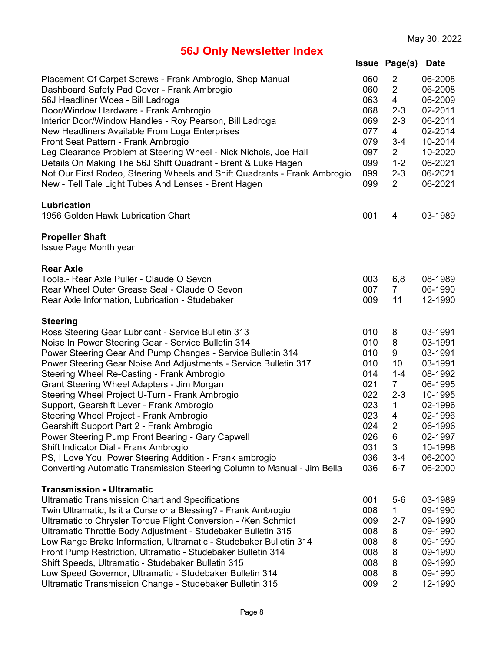|  | <b>Issue Page(s) Date</b> |  |
|--|---------------------------|--|
|--|---------------------------|--|

| Placement Of Carpet Screws - Frank Ambrogio, Shop Manual<br>Dashboard Safety Pad Cover - Frank Ambrogio<br>56J Headliner Woes - Bill Ladroga<br>Door/Window Hardware - Frank Ambrogio<br>Interior Door/Window Handles - Roy Pearson, Bill Ladroga<br>New Headliners Available From Loga Enterprises<br>Front Seat Pattern - Frank Ambrogio<br>Leg Clearance Problem at Steering Wheel - Nick Nichols, Joe Hall<br>Details On Making The 56J Shift Quadrant - Brent & Luke Hagen<br>Not Our First Rodeo, Steering Wheels and Shift Quadrants - Frank Ambrogio<br>New - Tell Tale Light Tubes And Lenses - Brent Hagen                                                                                                                                                                    | 060<br>060<br>063<br>068<br>069<br>077<br>079<br>097<br>099<br>099<br>099                      | $\overline{2}$<br>$\overline{2}$<br>4<br>$2 - 3$<br>$2 - 3$<br>4<br>$3 - 4$<br>$\overline{2}$<br>$1 - 2$<br>$2 - 3$<br>$\overline{2}$ | 06-2008<br>06-2008<br>06-2009<br>02-2011<br>06-2011<br>02-2014<br>10-2014<br>10-2020<br>06-2021<br>06-2021<br>06-2021                                  |
|-----------------------------------------------------------------------------------------------------------------------------------------------------------------------------------------------------------------------------------------------------------------------------------------------------------------------------------------------------------------------------------------------------------------------------------------------------------------------------------------------------------------------------------------------------------------------------------------------------------------------------------------------------------------------------------------------------------------------------------------------------------------------------------------|------------------------------------------------------------------------------------------------|---------------------------------------------------------------------------------------------------------------------------------------|--------------------------------------------------------------------------------------------------------------------------------------------------------|
| Lubrication<br>1956 Golden Hawk Lubrication Chart                                                                                                                                                                                                                                                                                                                                                                                                                                                                                                                                                                                                                                                                                                                                       | 001                                                                                            | 4                                                                                                                                     | 03-1989                                                                                                                                                |
| <b>Propeller Shaft</b><br>Issue Page Month year                                                                                                                                                                                                                                                                                                                                                                                                                                                                                                                                                                                                                                                                                                                                         |                                                                                                |                                                                                                                                       |                                                                                                                                                        |
| <b>Rear Axle</b><br>Tools.- Rear Axle Puller - Claude O Sevon<br>Rear Wheel Outer Grease Seal - Claude O Sevon<br>Rear Axle Information, Lubrication - Studebaker                                                                                                                                                                                                                                                                                                                                                                                                                                                                                                                                                                                                                       | 003<br>007<br>009                                                                              | 6,8<br>$\overline{7}$<br>11                                                                                                           | 08-1989<br>06-1990<br>12-1990                                                                                                                          |
| <b>Steering</b><br>Ross Steering Gear Lubricant - Service Bulletin 313<br>Noise In Power Steering Gear - Service Bulletin 314<br>Power Steering Gear And Pump Changes - Service Bulletin 314<br>Power Steering Gear Noise And Adjustments - Service Bulletin 317<br>Steering Wheel Re-Casting - Frank Ambrogio<br>Grant Steering Wheel Adapters - Jim Morgan<br>Steering Wheel Project U-Turn - Frank Ambrogio<br>Support, Gearshift Lever - Frank Ambrogio<br>Steering Wheel Project - Frank Ambrogio<br>Gearshift Support Part 2 - Frank Ambrogio<br>Power Steering Pump Front Bearing - Gary Capwell<br>Shift Indicator Dial - Frank Ambrogio<br>PS, I Love You, Power Steering Addition - Frank ambrogio<br>Converting Automatic Transmission Steering Column to Manual - Jim Bella | 010<br>010<br>010<br>010<br>014<br>021<br>022<br>023<br>023<br>024<br>026<br>031<br>036<br>036 | 8<br>8<br>9<br>10<br>$1 - 4$<br>$\overline{7}$<br>$2 - 3$<br>1<br>4<br>$\overline{2}$<br>6<br>3<br>$3 - 4$<br>$6 - 7$                 | 03-1991<br>03-1991<br>03-1991<br>03-1991<br>08-1992<br>06-1995<br>10-1995<br>02-1996<br>02-1996<br>06-1996<br>02-1997<br>10-1998<br>06-2000<br>06-2000 |
| <b>Transmission - Ultramatic</b><br><b>Ultramatic Transmission Chart and Specifications</b><br>Twin Ultramatic, Is it a Curse or a Blessing? - Frank Ambrogio<br>Ultramatic to Chrysler Torque Flight Conversion - /Ken Schmidt<br>Ultramatic Throttle Body Adjustment - Studebaker Bulletin 315<br>Low Range Brake Information, Ultramatic - Studebaker Bulletin 314<br>Front Pump Restriction, Ultramatic - Studebaker Bulletin 314<br>Shift Speeds, Ultramatic - Studebaker Bulletin 315<br>Low Speed Governor, Ultramatic - Studebaker Bulletin 314<br>Ultramatic Transmission Change - Studebaker Bulletin 315                                                                                                                                                                     | 001<br>008<br>009<br>008<br>008<br>008<br>008<br>008<br>009                                    | $5-6$<br>1<br>$2 - 7$<br>8<br>8<br>8<br>8<br>8<br>$\overline{2}$                                                                      | 03-1989<br>09-1990<br>09-1990<br>09-1990<br>09-1990<br>09-1990<br>09-1990<br>09-1990<br>12-1990                                                        |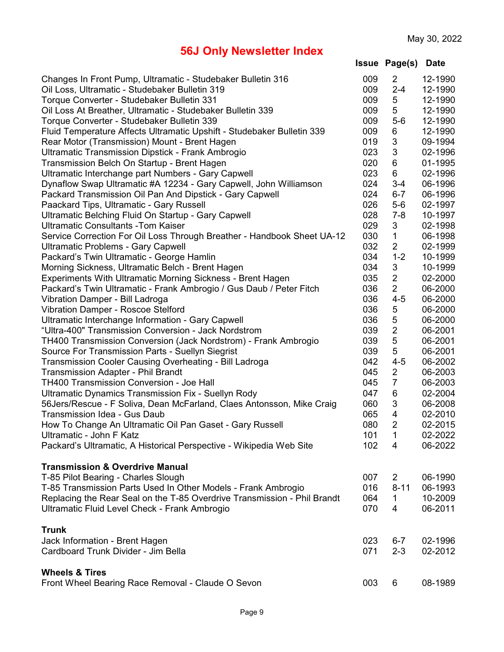| <b>Issue Page(s) Date</b> |  |  |
|---------------------------|--|--|
|---------------------------|--|--|

| Changes In Front Pump, Ultramatic - Studebaker Bulletin 316              | 009 | $\overline{2}$ | 12-1990 |
|--------------------------------------------------------------------------|-----|----------------|---------|
| Oil Loss, Ultramatic - Studebaker Bulletin 319                           | 009 | $2 - 4$        | 12-1990 |
| Torque Converter - Studebaker Bulletin 331                               | 009 | 5              | 12-1990 |
| Oil Loss At Breather, Ultramatic - Studebaker Bulletin 339               | 009 | 5              | 12-1990 |
| Torque Converter - Studebaker Bulletin 339                               | 009 | $5-6$          | 12-1990 |
| Fluid Temperature Affects Ultramatic Upshift - Studebaker Bulletin 339   | 009 | 6              | 12-1990 |
| Rear Motor (Transmission) Mount - Brent Hagen                            | 019 | 3              | 09-1994 |
| <b>Ultramatic Transmission Dipstick - Frank Ambrogio</b>                 | 023 | $\mathsf 3$    | 02-1996 |
| Transmission Belch On Startup - Brent Hagen                              | 020 | 6              | 01-1995 |
| Ultramatic Interchange part Numbers - Gary Capwell                       | 023 | 6              | 02-1996 |
| Dynaflow Swap Ultramatic #A 12234 - Gary Capwell, John Williamson        | 024 | $3 - 4$        | 06-1996 |
| Packard Transmission Oil Pan And Dipstick - Gary Capwell                 | 024 | $6 - 7$        | 06-1996 |
| Paackard Tips, Ultramatic - Gary Russell                                 | 026 | $5-6$          | 02-1997 |
| Ultramatic Belching Fluid On Startup - Gary Capwell                      | 028 | $7 - 8$        | 10-1997 |
| <b>Ultramatic Consultants - Tom Kaiser</b>                               | 029 | 3              | 02-1998 |
| Service Correction For Oil Loss Through Breather - Handbook Sheet UA-12  | 030 | $\mathbf{1}$   | 06-1998 |
| <b>Ultramatic Problems - Gary Capwell</b>                                | 032 | $\overline{2}$ | 02-1999 |
| Packard's Twin Ultramatic - George Hamlin                                | 034 | $1 - 2$        | 10-1999 |
| Morning Sickness, Ultramatic Belch - Brent Hagen                         | 034 | 3              | 10-1999 |
| Experiments With Ultramatic Morning Sickness - Brent Hagen               | 035 | $\overline{2}$ | 02-2000 |
| Packard's Twin Ultramatic - Frank Ambrogio / Gus Daub / Peter Fitch      | 036 | $\overline{2}$ | 06-2000 |
| Vibration Damper - Bill Ladroga                                          | 036 | $4 - 5$        | 06-2000 |
| <b>Vibration Damper - Roscoe Stelford</b>                                | 036 | 5              | 06-2000 |
| Ultramatic Interchange Information - Gary Capwell                        | 036 | 5              | 06-2000 |
| "Ultra-400" Transmission Conversion - Jack Nordstrom                     | 039 | $\overline{2}$ | 06-2001 |
| TH400 Transmission Conversion (Jack Nordstrom) - Frank Ambrogio          | 039 | 5              | 06-2001 |
| Source For Transmission Parts - Suellyn Siegrist                         | 039 | 5              | 06-2001 |
| Transmission Cooler Causing Overheating - Bill Ladroga                   | 042 | $4 - 5$        | 06-2002 |
| Transmission Adapter - Phil Brandt                                       | 045 | $\overline{2}$ | 06-2003 |
| TH400 Transmission Conversion - Joe Hall                                 | 045 | $\overline{7}$ | 06-2003 |
| <b>Ultramatic Dynamics Transmission Fix - Suellyn Rody</b>               | 047 | 6              | 02-2004 |
| 56Jers/Rescue - F Soliva, Dean McFarland, Claes Antonsson, Mike Craig    | 060 | 3              | 06-2008 |
| Transmission Idea - Gus Daub                                             | 065 | $\overline{4}$ | 02-2010 |
| How To Change An Ultramatic Oil Pan Gaset - Gary Russell                 | 080 | $\overline{2}$ | 02-2015 |
| Ultramatic - John F Katz                                                 | 101 | 1              | 02-2022 |
| Packard's Ultramatic, A Historical Perspective - Wikipedia Web Site      | 102 | 4              | 06-2022 |
| <b>Transmission &amp; Overdrive Manual</b>                               |     |                |         |
| T-85 Pilot Bearing - Charles Slough                                      | 007 | $\overline{2}$ | 06-1990 |
| T-85 Transmission Parts Used In Other Models - Frank Ambrogio            | 016 | $8 - 11$       | 06-1993 |
| Replacing the Rear Seal on the T-85 Overdrive Transmission - Phil Brandt | 064 | 1              | 10-2009 |
| Ultramatic Fluid Level Check - Frank Ambrogio                            | 070 | 4              | 06-2011 |
| <b>Trunk</b>                                                             |     |                |         |
| Jack Information - Brent Hagen                                           | 023 | $6-7$          | 02-1996 |
| Cardboard Trunk Divider - Jim Bella                                      | 071 | $2 - 3$        | 02-2012 |
| <b>Wheels &amp; Tires</b>                                                |     |                |         |
| Front Wheel Bearing Race Removal - Claude O Sevon                        | 003 | 6              | 08-1989 |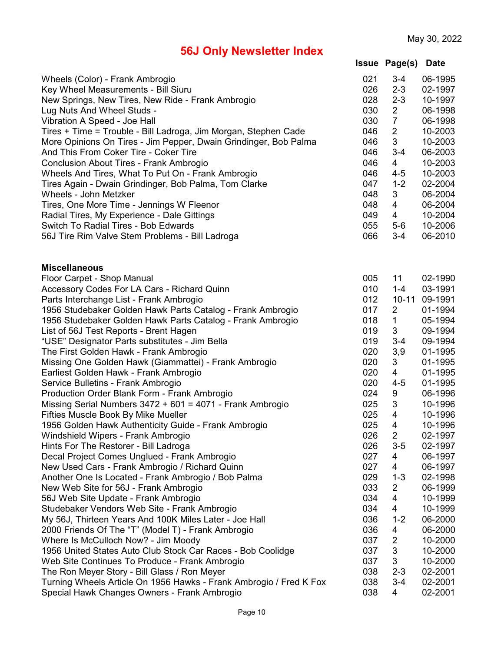|                                                                                           |            | <b>Issue Page(s)</b> | <b>Date</b>        |
|-------------------------------------------------------------------------------------------|------------|----------------------|--------------------|
| Wheels (Color) - Frank Ambrogio                                                           | 021        | $3 - 4$              | 06-1995            |
| Key Wheel Measurements - Bill Siuru                                                       | 026        | $2 - 3$              | 02-1997            |
| New Springs, New Tires, New Ride - Frank Ambrogio                                         | 028        | $2 - 3$              | 10-1997            |
| Lug Nuts And Wheel Studs -                                                                | 030        | $\overline{2}$       | 06-1998            |
| Vibration A Speed - Joe Hall                                                              | 030        | $\overline{7}$       | 06-1998            |
| Tires + Time = Trouble - Bill Ladroga, Jim Morgan, Stephen Cade                           | 046        | $\overline{2}$       | 10-2003            |
| More Opinions On Tires - Jim Pepper, Dwain Grindinger, Bob Palma                          | 046        | $\sqrt{3}$           | 10-2003            |
| And This From Coker Tire - Coker Tire                                                     | 046        | $3 - 4$              | 06-2003            |
| Conclusion About Tires - Frank Ambrogio                                                   | 046        | $\overline{4}$       | 10-2003            |
| Wheels And Tires, What To Put On - Frank Ambrogio                                         | 046        | $4 - 5$              | 10-2003            |
| Tires Again - Dwain Grindinger, Bob Palma, Tom Clarke                                     | 047        | $1 - 2$              | 02-2004            |
| Wheels - John Metzker                                                                     | 048        | 3                    | 06-2004            |
| Tires, One More Time - Jennings W Fleenor                                                 | 048        | $\overline{4}$       | 06-2004            |
| Radial Tires, My Experience - Dale Gittings                                               | 049        | $\overline{4}$       | 10-2004            |
| Switch To Radial Tires - Bob Edwards                                                      | 055        | $5-6$                | 10-2006            |
| 56J Tire Rim Valve Stem Problems - Bill Ladroga                                           | 066        | $3 - 4$              | 06-2010            |
| <b>Miscellaneous</b>                                                                      |            |                      |                    |
| Floor Carpet - Shop Manual                                                                | 005        | 11                   | 02-1990            |
| Accessory Codes For LA Cars - Richard Quinn                                               | 010        | $1 - 4$              | 03-1991            |
| Parts Interchange List - Frank Ambrogio                                                   | 012        | $10 - 11$            | 09-1991            |
| 1956 Studebaker Golden Hawk Parts Catalog - Frank Ambrogio                                | 017        | 2                    | 01-1994            |
| 1956 Studebaker Golden Hawk Parts Catalog - Frank Ambrogio                                | 018        | 1                    | 05-1994            |
| List of 56J Test Reports - Brent Hagen                                                    | 019        | 3                    | 09-1994            |
| "USE" Designator Parts substitutes - Jim Bella                                            | 019        | $3 - 4$              | 09-1994            |
| The First Golden Hawk - Frank Ambrogio                                                    | 020        | 3,9                  | 01-1995            |
| Missing One Golden Hawk (Giammattei) - Frank Ambrogio                                     | 020        | 3                    | 01-1995            |
| Earliest Golden Hawk - Frank Ambrogio                                                     | 020        | 4                    | 01-1995            |
| Service Bulletins - Frank Ambrogio                                                        | 020        | $4 - 5$              | 01-1995            |
| Production Order Blank Form - Frank Ambrogio                                              | 024        | 9                    | 06-1996            |
| Missing Serial Numbers $3472 + 601 = 4071$ - Frank Ambrogio                               | 025        | 3                    | 10-1996            |
| Fifties Muscle Book By Mike Mueller                                                       | 025        | $\overline{4}$       | 10-1996            |
| 1956 Golden Hawk Authenticity Guide - Frank Ambrogio                                      | 025        | 4                    | 10-1996            |
| Windshield Wipers - Frank Ambrogio                                                        | 026        | $\overline{2}$       | 02-1997            |
| Hints For The Restorer - Bill Ladroga                                                     | 026        | $3-5$                | 02-1997            |
| Decal Project Comes Unglued - Frank Ambrogio                                              | 027        | 4                    | 06-1997            |
| New Used Cars - Frank Ambrogio / Richard Quinn                                            | 027        | 4                    | 06-1997            |
| Another One Is Located - Frank Ambrogio / Bob Palma                                       | 029        | $1 - 3$              | 02-1998            |
| New Web Site for 56J - Frank Ambrogio                                                     | 033        | 2                    | 06-1999            |
| 56J Web Site Update - Frank Ambrogio                                                      | 034        | 4                    | 10-1999            |
| Studebaker Vendors Web Site - Frank Ambrogio                                              | 034        | 4<br>$1 - 2$         | 10-1999            |
| My 56J, Thirteen Years And 100K Miles Later - Joe Hall                                    | 036<br>036 | 4                    | 06-2000<br>06-2000 |
| 2000 Friends Of The "T" (Model T) - Frank Ambrogio<br>Where Is McCulloch Now? - Jim Moody | 037        | 2                    | 10-2000            |
| 1956 United States Auto Club Stock Car Races - Bob Coolidge                               | 037        | 3                    | 10-2000            |
| Web Site Continues To Produce - Frank Ambrogio                                            | 037        | 3                    | 10-2000            |
| The Ron Meyer Story - Bill Glass / Ron Meyer                                              | 038        | $2 - 3$              | 02-2001            |
| Turning Wheels Article On 1956 Hawks - Frank Ambrogio / Fred K Fox                        | 038        | $3 - 4$              | 02-2001            |
| Special Hawk Changes Owners - Frank Ambrogio                                              | 038        | 4                    | 02-2001            |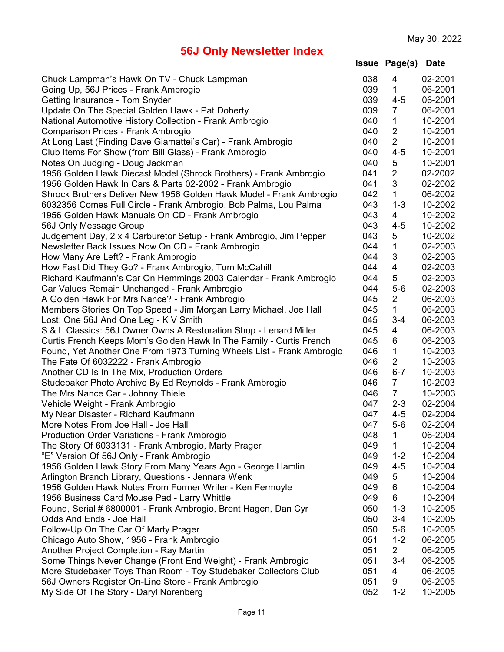| Issue | Page(s) | <b>Date</b> |
|-------|---------|-------------|
|-------|---------|-------------|

| Chuck Lampman's Hawk On TV - Chuck Lampman                            | 038 | 4              | 02-2001 |
|-----------------------------------------------------------------------|-----|----------------|---------|
| Going Up, 56J Prices - Frank Ambrogio                                 | 039 | $\mathbf 1$    | 06-2001 |
| Getting Insurance - Tom Snyder                                        | 039 | $4 - 5$        | 06-2001 |
| Update On The Special Golden Hawk - Pat Doherty                       | 039 | $\overline{7}$ | 06-2001 |
| National Automotive History Collection - Frank Ambrogio               | 040 | 1              | 10-2001 |
| Comparison Prices - Frank Ambrogio                                    | 040 | $\overline{2}$ | 10-2001 |
| At Long Last (Finding Dave Giamattei's Car) - Frank Ambrogio          | 040 | $\overline{2}$ | 10-2001 |
| Club Items For Show (from Bill Glass) - Frank Ambrogio                | 040 | $4 - 5$        | 10-2001 |
| Notes On Judging - Doug Jackman                                       | 040 | 5              | 10-2001 |
| 1956 Golden Hawk Diecast Model (Shrock Brothers) - Frank Ambrogio     | 041 | $\overline{2}$ | 02-2002 |
| 1956 Golden Hawk In Cars & Parts 02-2002 - Frank Ambrogio             | 041 | 3              | 02-2002 |
| Shrock Brothers Deliver New 1956 Golden Hawk Model - Frank Ambrogio   | 042 | 1              | 06-2002 |
| 6032356 Comes Full Circle - Frank Ambrogio, Bob Palma, Lou Palma      | 043 | $1 - 3$        | 10-2002 |
| 1956 Golden Hawk Manuals On CD - Frank Ambrogio                       | 043 | 4              | 10-2002 |
| 56J Only Message Group                                                | 043 | $4 - 5$        | 10-2002 |
| Judgement Day, 2 x 4 Carburetor Setup - Frank Ambrogio, Jim Pepper    | 043 | 5              | 10-2002 |
| Newsletter Back Issues Now On CD - Frank Ambrogio                     | 044 | 1              | 02-2003 |
| How Many Are Left? - Frank Ambrogio                                   | 044 | 3              | 02-2003 |
| How Fast Did They Go? - Frank Ambrogio, Tom McCahill                  | 044 | 4              | 02-2003 |
| Richard Kaufmann's Car On Hemmings 2003 Calendar - Frank Ambrogio     | 044 | 5              | 02-2003 |
| Car Values Remain Unchanged - Frank Ambrogio                          | 044 | $5-6$          | 02-2003 |
|                                                                       | 045 | $\overline{2}$ | 06-2003 |
| A Golden Hawk For Mrs Nance? - Frank Ambrogio                         | 045 | 1              | 06-2003 |
| Members Stories On Top Speed - Jim Morgan Larry Michael, Joe Hall     |     |                |         |
| Lost: One 56J And One Leg - K V Smith                                 | 045 | $3 - 4$        | 06-2003 |
| S & L Classics: 56J Owner Owns A Restoration Shop - Lenard Miller     | 045 | 4              | 06-2003 |
| Curtis French Keeps Mom's Golden Hawk In The Family - Curtis French   | 045 | 6              | 06-2003 |
| Found, Yet Another One From 1973 Turning Wheels List - Frank Ambrogio | 046 | $\mathbf 1$    | 10-2003 |
| The Fate Of 6032222 - Frank Ambrogio                                  | 046 | $\overline{2}$ | 10-2003 |
| Another CD Is In The Mix, Production Orders                           | 046 | $6 - 7$        | 10-2003 |
| Studebaker Photo Archive By Ed Reynolds - Frank Ambrogio              | 046 | $\overline{7}$ | 10-2003 |
| The Mrs Nance Car - Johnny Thiele                                     | 046 | $\overline{7}$ | 10-2003 |
| Vehicle Weight - Frank Ambrogio                                       | 047 | $2 - 3$        | 02-2004 |
| My Near Disaster - Richard Kaufmann                                   | 047 | $4 - 5$        | 02-2004 |
| More Notes From Joe Hall - Joe Hall                                   | 047 | $5-6$          | 02-2004 |
| <b>Production Order Variations - Frank Ambrogio</b>                   | 048 | 1              | 06-2004 |
| The Story Of 6033131 - Frank Ambrogio, Marty Prager                   | 049 | 1              | 10-2004 |
| "E" Version Of 56J Only - Frank Ambrogio                              | 049 | $1 - 2$        | 10-2004 |
| 1956 Golden Hawk Story From Many Years Ago - George Hamlin            | 049 | $4 - 5$        | 10-2004 |
| Arlington Branch Library, Questions - Jennara Wenk                    | 049 | 5              | 10-2004 |
| 1956 Golden Hawk Notes From Former Writer - Ken Fermoyle              | 049 | 6              | 10-2004 |
| 1956 Business Card Mouse Pad - Larry Whittle                          | 049 | 6              | 10-2004 |
| Found, Serial # 6800001 - Frank Ambrogio, Brent Hagen, Dan Cyr        | 050 | $1 - 3$        | 10-2005 |
| Odds And Ends - Joe Hall                                              | 050 | $3 - 4$        | 10-2005 |
| Follow-Up On The Car Of Marty Prager                                  | 050 | $5-6$          | 10-2005 |
| Chicago Auto Show, 1956 - Frank Ambrogio                              | 051 | $1 - 2$        | 06-2005 |
| Another Project Completion - Ray Martin                               | 051 | 2              | 06-2005 |
| Some Things Never Change (Front End Weight) - Frank Ambrogio          | 051 | $3 - 4$        | 06-2005 |
| More Studebaker Toys Than Room - Toy Studebaker Collectors Club       | 051 | 4              | 06-2005 |
| 56J Owners Register On-Line Store - Frank Ambrogio                    | 051 | 9              | 06-2005 |
| My Side Of The Story - Daryl Norenberg                                | 052 | $1 - 2$        | 10-2005 |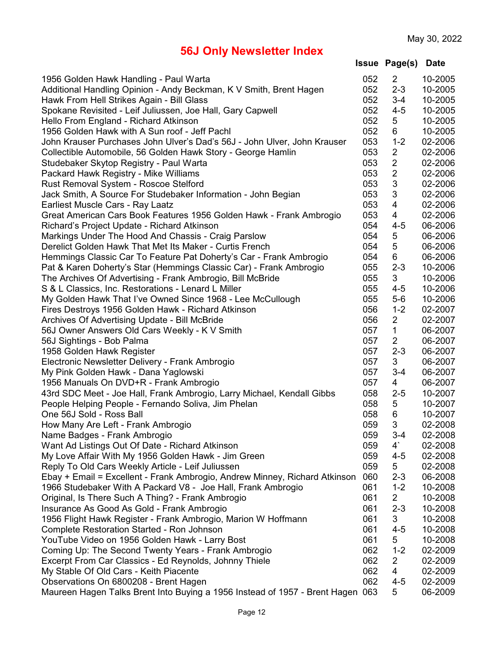| 1956 Golden Hawk Handling - Paul Warta                                     | 052 | $\mathbf{2}^{\prime}$   | 10-2005 |
|----------------------------------------------------------------------------|-----|-------------------------|---------|
| Additional Handling Opinion - Andy Beckman, K V Smith, Brent Hagen         | 052 | $2 - 3$                 | 10-2005 |
| Hawk From Hell Strikes Again - Bill Glass                                  | 052 | $3 - 4$                 | 10-2005 |
| Spokane Revisited - Leif Juliussen, Joe Hall, Gary Capwell                 | 052 | $4 - 5$                 | 10-2005 |
| Hello From England - Richard Atkinson                                      | 052 | 5                       | 10-2005 |
| 1956 Golden Hawk with A Sun roof - Jeff Pachl                              | 052 | 6                       | 10-2005 |
|                                                                            | 053 | $1 - 2$                 | 02-2006 |
| John Krauser Purchases John Ulver's Dad's 56J - John Ulver, John Krauser   | 053 | $\overline{2}$          | 02-2006 |
| Collectible Automobile, 56 Golden Hawk Story - George Hamlin               | 053 | $\overline{2}$          |         |
| Studebaker Skytop Registry - Paul Warta                                    |     |                         | 02-2006 |
| Packard Hawk Registry - Mike Williams                                      | 053 | $\overline{2}$          | 02-2006 |
| Rust Removal System - Roscoe Stelford                                      | 053 | 3                       | 02-2006 |
| Jack Smith, A Source For Studebaker Information - John Begian              | 053 | $\sqrt{3}$              | 02-2006 |
| Earliest Muscle Cars - Ray Laatz                                           | 053 | 4                       | 02-2006 |
| Great American Cars Book Features 1956 Golden Hawk - Frank Ambrogio        | 053 | $\overline{\mathbf{4}}$ | 02-2006 |
| Richard's Project Update - Richard Atkinson                                | 054 | $4 - 5$                 | 06-2006 |
| Markings Under The Hood And Chassis - Craig Parslow                        | 054 | 5                       | 06-2006 |
| Derelict Golden Hawk That Met Its Maker - Curtis French                    | 054 | 5                       | 06-2006 |
| Hemmings Classic Car To Feature Pat Doherty's Car - Frank Ambrogio         | 054 | 6                       | 06-2006 |
| Pat & Karen Doherty's Star (Hemmings Classic Car) - Frank Ambrogio         | 055 | $2 - 3$                 | 10-2006 |
| The Archives Of Advertising - Frank Ambrogio, Bill McBride                 | 055 | 3                       | 10-2006 |
| S & L Classics, Inc. Restorations - Lenard L Miller                        | 055 | $4 - 5$                 | 10-2006 |
| My Golden Hawk That I've Owned Since 1968 - Lee McCullough                 | 055 | $5-6$                   | 10-2006 |
| Fires Destroys 1956 Golden Hawk - Richard Atkinson                         | 056 | $1 - 2$                 | 02-2007 |
| Archives Of Advertising Update - Bill McBride                              | 056 | $\overline{2}$          | 02-2007 |
| 56J Owner Answers Old Cars Weekly - K V Smith                              | 057 | $\mathbf{1}$            | 06-2007 |
| 56J Sightings - Bob Palma                                                  | 057 | $\overline{2}$          | 06-2007 |
| 1958 Golden Hawk Register                                                  | 057 | $2 - 3$                 | 06-2007 |
| Electronic Newsletter Delivery - Frank Ambrogio                            | 057 | 3                       | 06-2007 |
| My Pink Golden Hawk - Dana Yaglowski                                       | 057 | $3 - 4$                 | 06-2007 |
| 1956 Manuals On DVD+R - Frank Ambrogio                                     | 057 | 4                       | 06-2007 |
| 43rd SDC Meet - Joe Hall, Frank Ambrogio, Larry Michael, Kendall Gibbs     | 058 | $2 - 5$                 | 10-2007 |
| People Helping People - Fernando Soliva, Jim Phelan                        | 058 | 5                       | 10-2007 |
| One 56J Sold - Ross Ball                                                   | 058 | 6                       | 10-2007 |
| How Many Are Left - Frank Ambrogio                                         | 059 | 3                       | 02-2008 |
| Name Badges - Frank Ambrogio                                               | 059 | $3 - 4$                 | 02-2008 |
| Want Ad Listings Out Of Date - Richard Atkinson                            | 059 | $4^{\circ}$             | 02-2008 |
| My Love Affair With My 1956 Golden Hawk - Jim Green                        | 059 | $4 - 5$                 | 02-2008 |
| Reply To Old Cars Weekly Article - Leif Juliussen                          | 059 | 5                       | 02-2008 |
| Ebay + Email = Excellent - Frank Ambrogio, Andrew Minney, Richard Atkinson | 060 | $2 - 3$                 | 06-2008 |
| 1966 Studebaker With A Packard V8 - Joe Hall, Frank Ambrogio               | 061 | $1 - 2$                 | 10-2008 |
| Original, Is There Such A Thing? - Frank Ambrogio                          | 061 | $\overline{2}$          | 10-2008 |
| Insurance As Good As Gold - Frank Ambrogio                                 | 061 | $2 - 3$                 | 10-2008 |
| 1956 Flight Hawk Register - Frank Ambrogio, Marion W Hoffmann              | 061 | 3                       | 10-2008 |
| Complete Restoration Started - Ron Johnson                                 | 061 | $4 - 5$                 | 10-2008 |
| YouTube Video on 1956 Golden Hawk - Larry Bost                             | 061 | 5                       | 10-2008 |
| Coming Up: The Second Twenty Years - Frank Ambrogio                        | 062 | $1 - 2$                 | 02-2009 |
| Excerpt From Car Classics - Ed Reynolds, Johnny Thiele                     | 062 | $\overline{2}$          | 02-2009 |
| My Stable Of Old Cars - Keith Piacente                                     | 062 | 4                       | 02-2009 |
| Observations On 6800208 - Brent Hagen                                      | 062 | $4 - 5$                 | 02-2009 |
| Maureen Hagen Talks Brent Into Buying a 1956 Instead of 1957 - Brent Hagen | 063 | 5                       | 06-2009 |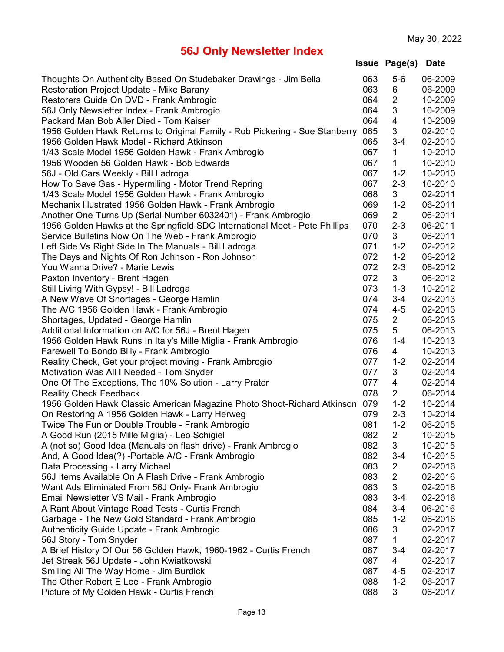| Thoughts On Authenticity Based On Studebaker Drawings - Jim Bella           | 063 | $5-6$          | 06-2009 |
|-----------------------------------------------------------------------------|-----|----------------|---------|
| Restoration Project Update - Mike Barany                                    | 063 | 6              | 06-2009 |
| Restorers Guide On DVD - Frank Ambrogio                                     | 064 | $\overline{2}$ | 10-2009 |
| 56J Only Newsletter Index - Frank Ambrogio                                  | 064 | 3              | 10-2009 |
| Packard Man Bob Aller Died - Tom Kaiser                                     | 064 | 4              | 10-2009 |
| 1956 Golden Hawk Returns to Original Family - Rob Pickering - Sue Stanberry | 065 | 3              | 02-2010 |
| 1956 Golden Hawk Model - Richard Atkinson                                   | 065 | $3 - 4$        | 02-2010 |
| 1/43 Scale Model 1956 Golden Hawk - Frank Ambrogio                          | 067 | 1              | 10-2010 |
| 1956 Wooden 56 Golden Hawk - Bob Edwards                                    | 067 | 1              | 10-2010 |
| 56J - Old Cars Weekly - Bill Ladroga                                        | 067 | $1 - 2$        | 10-2010 |
| How To Save Gas - Hypermiling - Motor Trend Repring                         | 067 | $2 - 3$        | 10-2010 |
| 1/43 Scale Model 1956 Golden Hawk - Frank Ambrogio                          | 068 | 3              | 02-2011 |
| Mechanix Illustrated 1956 Golden Hawk - Frank Ambrogio                      | 069 | $1 - 2$        | 06-2011 |
| Another One Turns Up (Serial Number 6032401) - Frank Ambrogio               | 069 | 2              | 06-2011 |
| 1956 Golden Hawks at the Springfield SDC International Meet - Pete Phillips | 070 | $2 - 3$        | 06-2011 |
| Service Bulletins Now On The Web - Frank Ambrogio                           | 070 | 3              | 06-2011 |
| Left Side Vs Right Side In The Manuals - Bill Ladroga                       | 071 | $1 - 2$        | 02-2012 |
| The Days and Nights Of Ron Johnson - Ron Johnson                            | 072 | $1 - 2$        | 06-2012 |
| You Wanna Drive? - Marie Lewis                                              | 072 | $2 - 3$        | 06-2012 |
| Paxton Inventory - Brent Hagen                                              | 072 | 3              | 06-2012 |
| Still Living With Gypsy! - Bill Ladroga                                     | 073 | $1 - 3$        | 10-2012 |
| A New Wave Of Shortages - George Hamlin                                     | 074 | $3 - 4$        | 02-2013 |
| The A/C 1956 Golden Hawk - Frank Ambrogio                                   | 074 | $4 - 5$        | 02-2013 |
| Shortages, Updated - George Hamlin                                          | 075 | $\overline{2}$ | 06-2013 |
| Additional Information on A/C for 56J - Brent Hagen                         | 075 | 5              | 06-2013 |
| 1956 Golden Hawk Runs In Italy's Mille Miglia - Frank Ambrogio              | 076 | $1 - 4$        | 10-2013 |
| Farewell To Bondo Billy - Frank Ambrogio                                    | 076 | 4              | 10-2013 |
| Reality Check, Get your project moving - Frank Ambrogio                     | 077 | $1 - 2$        | 02-2014 |
| Motivation Was All I Needed - Tom Snyder                                    | 077 | 3              | 02-2014 |
| One Of The Exceptions, The 10% Solution - Larry Prater                      | 077 | 4              | 02-2014 |
| <b>Reality Check Feedback</b>                                               | 078 | $\overline{2}$ | 06-2014 |
| 1956 Golden Hawk Classic American Magazine Photo Shoot-Richard Atkinson     | 079 | $1 - 2$        | 10-2014 |
| On Restoring A 1956 Golden Hawk - Larry Herweg                              | 079 | $2 - 3$        | 10-2014 |
| Twice The Fun or Double Trouble - Frank Ambrogio                            | 081 | $1 - 2$        | 06-2015 |
| A Good Run (2015 Mille Miglia) - Leo Schigiel                               | 082 | $\overline{2}$ | 10-2015 |
| A (not so) Good Idea (Manuals on flash drive) - Frank Ambrogio              | 082 | 3              | 10-2015 |
| And, A Good Idea(?) - Portable A/C - Frank Ambrogio                         | 082 | $3 - 4$        | 10-2015 |
| Data Processing - Larry Michael                                             | 083 | $\overline{2}$ | 02-2016 |
| 56J Items Available On A Flash Drive - Frank Ambrogio                       | 083 | $\overline{2}$ | 02-2016 |
| Want Ads Eliminated From 56J Only- Frank Ambrogio                           | 083 | 3              | 02-2016 |
| Email Newsletter VS Mail - Frank Ambrogio                                   | 083 | $3 - 4$        | 02-2016 |
| A Rant About Vintage Road Tests - Curtis French                             | 084 | $3 - 4$        | 06-2016 |
| Garbage - The New Gold Standard - Frank Ambrogio                            | 085 | $1 - 2$        | 06-2016 |
| Authenticity Guide Update - Frank Ambrogio                                  | 086 | 3              | 02-2017 |
| 56J Story - Tom Snyder                                                      | 087 | 1              | 02-2017 |
| A Brief History Of Our 56 Golden Hawk, 1960-1962 - Curtis French            | 087 | $3 - 4$        | 02-2017 |
| Jet Streak 56J Update - John Kwiatkowski                                    | 087 | $\overline{4}$ | 02-2017 |
| Smiling All The Way Home - Jim Burdick                                      | 087 | $4 - 5$        | 02-2017 |
| The Other Robert E Lee - Frank Ambrogio                                     | 088 | $1 - 2$        | 06-2017 |
| Picture of My Golden Hawk - Curtis French                                   | 088 | 3              | 06-2017 |